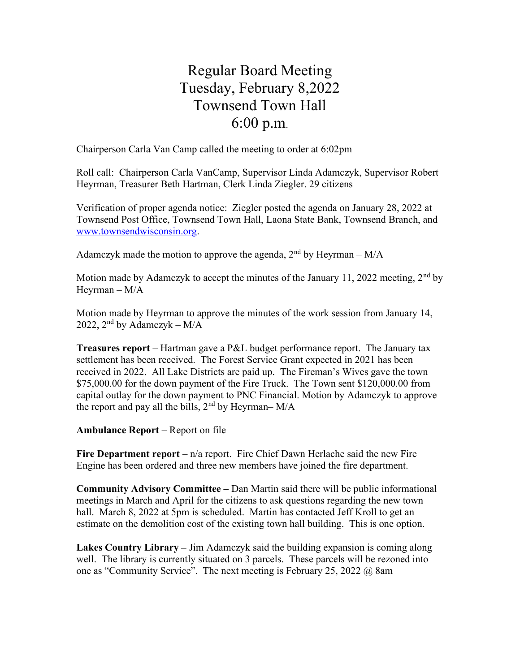## Regular Board Meeting Tuesday, February 8,2022 Townsend Town Hall 6:00 p.m.

Chairperson Carla Van Camp called the meeting to order at 6:02pm

Roll call: Chairperson Carla VanCamp, Supervisor Linda Adamczyk, Supervisor Robert Heyrman, Treasurer Beth Hartman, Clerk Linda Ziegler. 29 citizens

Verification of proper agenda notice: Ziegler posted the agenda on January 28, 2022 at Townsend Post Office, Townsend Town Hall, Laona State Bank, Townsend Branch, and www.townsendwisconsin.org.

Adamczyk made the motion to approve the agenda,  $2<sup>nd</sup>$  by Heyrman – M/A

Motion made by Adamczyk to accept the minutes of the January 11, 2022 meeting,  $2<sup>nd</sup>$  by Heyrman – M/A

Motion made by Heyrman to approve the minutes of the work session from January 14, 2022,  $2<sup>nd</sup>$  by Adamczyk – M/A

Treasures report – Hartman gave a P&L budget performance report. The January tax settlement has been received. The Forest Service Grant expected in 2021 has been received in 2022. All Lake Districts are paid up. The Fireman's Wives gave the town \$75,000.00 for the down payment of the Fire Truck. The Town sent \$120,000.00 from capital outlay for the down payment to PNC Financial. Motion by Adamczyk to approve the report and pay all the bills,  $2<sup>nd</sup>$  by Heyrman– M/A

Ambulance Report – Report on file

Fire Department report –  $n/a$  report. Fire Chief Dawn Herlache said the new Fire Engine has been ordered and three new members have joined the fire department.

Community Advisory Committee – Dan Martin said there will be public informational meetings in March and April for the citizens to ask questions regarding the new town hall. March 8, 2022 at 5pm is scheduled. Martin has contacted Jeff Kroll to get an estimate on the demolition cost of the existing town hall building. This is one option.

Lakes Country Library – Jim Adamczyk said the building expansion is coming along well. The library is currently situated on 3 parcels. These parcels will be rezoned into one as "Community Service". The next meeting is February 25, 2022 @ 8am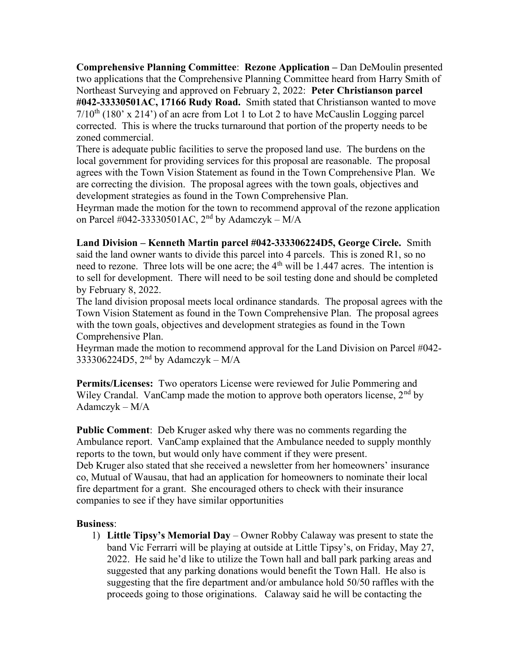Comprehensive Planning Committee: Rezone Application – Dan DeMoulin presented two applications that the Comprehensive Planning Committee heard from Harry Smith of Northeast Surveying and approved on February 2, 2022: Peter Christianson parcel #042-33330501AC, 17166 Rudy Road. Smith stated that Christianson wanted to move  $7/10^{th}$  (180' x 214') of an acre from Lot 1 to Lot 2 to have McCauslin Logging parcel corrected. This is where the trucks turnaround that portion of the property needs to be zoned commercial.

There is adequate public facilities to serve the proposed land use. The burdens on the local government for providing services for this proposal are reasonable. The proposal agrees with the Town Vision Statement as found in the Town Comprehensive Plan. We are correcting the division. The proposal agrees with the town goals, objectives and development strategies as found in the Town Comprehensive Plan.

Heyrman made the motion for the town to recommend approval of the rezone application on Parcel #042-33330501AC,  $2<sup>nd</sup>$  by Adamczyk – M/A

Land Division – Kenneth Martin parcel #042-333306224D5, George Circle. Smith said the land owner wants to divide this parcel into 4 parcels. This is zoned R1, so no need to rezone. Three lots will be one acre; the  $4<sup>th</sup>$  will be 1.447 acres. The intention is to sell for development. There will need to be soil testing done and should be completed by February 8, 2022.

The land division proposal meets local ordinance standards. The proposal agrees with the Town Vision Statement as found in the Town Comprehensive Plan. The proposal agrees with the town goals, objectives and development strategies as found in the Town Comprehensive Plan.

Heyrman made the motion to recommend approval for the Land Division on Parcel #042- 333306224D5,  $2<sup>nd</sup>$  by Adamczyk – M/A

Permits/Licenses: Two operators License were reviewed for Julie Pommering and Wiley Crandal. VanCamp made the motion to approve both operators license,  $2<sup>nd</sup>$  by Adamczyk – M/A

Public Comment: Deb Kruger asked why there was no comments regarding the Ambulance report. VanCamp explained that the Ambulance needed to supply monthly reports to the town, but would only have comment if they were present. Deb Kruger also stated that she received a newsletter from her homeowners' insurance co, Mutual of Wausau, that had an application for homeowners to nominate their local fire department for a grant. She encouraged others to check with their insurance companies to see if they have similar opportunities

## Business:

1) Little Tipsy's Memorial Day – Owner Robby Calaway was present to state the band Vic Ferrarri will be playing at outside at Little Tipsy's, on Friday, May 27, 2022. He said he'd like to utilize the Town hall and ball park parking areas and suggested that any parking donations would benefit the Town Hall. He also is suggesting that the fire department and/or ambulance hold 50/50 raffles with the proceeds going to those originations. Calaway said he will be contacting the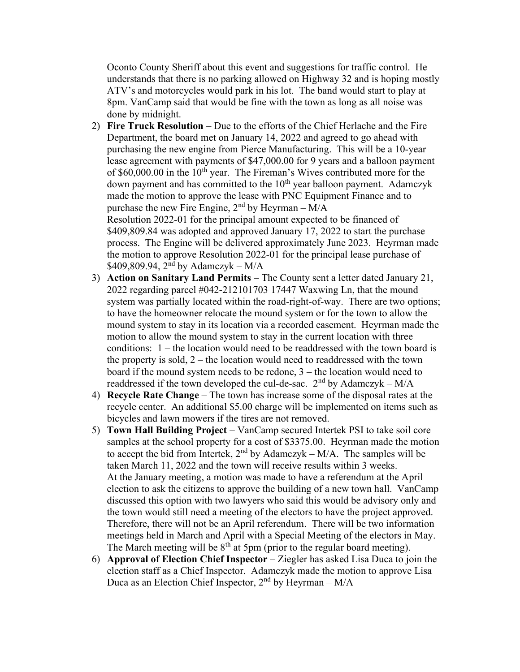Oconto County Sheriff about this event and suggestions for traffic control. He understands that there is no parking allowed on Highway 32 and is hoping mostly ATV's and motorcycles would park in his lot. The band would start to play at 8pm. VanCamp said that would be fine with the town as long as all noise was done by midnight.

- 2) Fire Truck Resolution Due to the efforts of the Chief Herlache and the Fire Department, the board met on January 14, 2022 and agreed to go ahead with purchasing the new engine from Pierce Manufacturing. This will be a 10-year lease agreement with payments of \$47,000.00 for 9 years and a balloon payment of  $$60,000.00$  in the  $10<sup>th</sup>$  year. The Fireman's Wives contributed more for the down payment and has committed to the  $10<sup>th</sup>$  year balloon payment. Adamczyk made the motion to approve the lease with PNC Equipment Finance and to purchase the new Fire Engine,  $2<sup>nd</sup>$  by Heyrman – M/A Resolution 2022-01 for the principal amount expected to be financed of \$409,809.84 was adopted and approved January 17, 2022 to start the purchase process. The Engine will be delivered approximately June 2023. Heyrman made the motion to approve Resolution 2022-01 for the principal lease purchase of  $$409,809.94, 2<sup>nd</sup>$  by Adamczyk – M/A
- 3) Action on Sanitary Land Permits The County sent a letter dated January 21, 2022 regarding parcel #042-212101703 17447 Waxwing Ln, that the mound system was partially located within the road-right-of-way. There are two options; to have the homeowner relocate the mound system or for the town to allow the mound system to stay in its location via a recorded easement. Heyrman made the motion to allow the mound system to stay in the current location with three conditions: 1 – the location would need to be readdressed with the town board is the property is sold,  $2$  – the location would need to readdressed with the town board if the mound system needs to be redone, 3 – the location would need to readdressed if the town developed the cul-de-sac.  $2<sup>nd</sup>$  by Adamczyk – M/A
- 4) Recycle Rate Change The town has increase some of the disposal rates at the recycle center. An additional \$5.00 charge will be implemented on items such as bicycles and lawn mowers if the tires are not removed.
- 5) Town Hall Building Project VanCamp secured Intertek PSI to take soil core samples at the school property for a cost of \$3375.00. Heyrman made the motion to accept the bid from Intertek,  $2<sup>nd</sup>$  by Adamczyk – M/A. The samples will be taken March 11, 2022 and the town will receive results within 3 weeks. At the January meeting, a motion was made to have a referendum at the April election to ask the citizens to approve the building of a new town hall. VanCamp discussed this option with two lawyers who said this would be advisory only and the town would still need a meeting of the electors to have the project approved. Therefore, there will not be an April referendum. There will be two information meetings held in March and April with a Special Meeting of the electors in May. The March meeting will be  $8<sup>th</sup>$  at 5pm (prior to the regular board meeting).
- 6) Approval of Election Chief Inspector Ziegler has asked Lisa Duca to join the election staff as a Chief Inspector. Adamczyk made the motion to approve Lisa Duca as an Election Chief Inspector,  $2<sup>nd</sup>$  by Heyrman – M/A